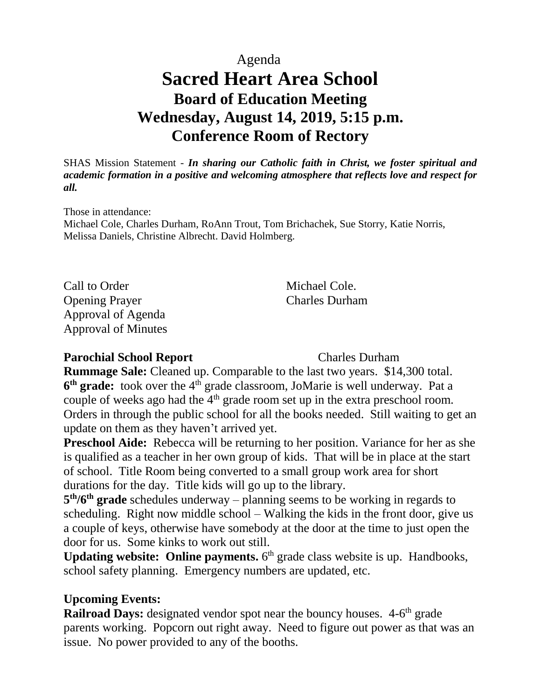Agenda

# **Sacred Heart Area School Board of Education Meeting Wednesday, August 14, 2019, 5:15 p.m. Conference Room of Rectory**

SHAS Mission Statement - *In sharing our Catholic faith in Christ, we foster spiritual and academic formation in a positive and welcoming atmosphere that reflects love and respect for all.*

Those in attendance: Michael Cole, Charles Durham, RoAnn Trout, Tom Brichachek, Sue Storry, Katie Norris, Melissa Daniels, Christine Albrecht. David Holmberg.

Call to Order Michael Cole. Opening Prayer Charles Durham Approval of Agenda Approval of Minutes

#### **Parochial School Report** Charles Durham

**Rummage Sale:** Cleaned up. Comparable to the last two years. \$14,300 total. **6<sup>th</sup> grade:** took over the 4<sup>th</sup> grade classroom, JoMarie is well underway. Pat a couple of weeks ago had the  $4<sup>th</sup>$  grade room set up in the extra preschool room. Orders in through the public school for all the books needed. Still waiting to get an update on them as they haven't arrived yet.

**Preschool Aide:** Rebecca will be returning to her position. Variance for her as she is qualified as a teacher in her own group of kids. That will be in place at the start of school. Title Room being converted to a small group work area for short durations for the day. Title kids will go up to the library.

**5 th/6th grade** schedules underway – planning seems to be working in regards to scheduling. Right now middle school – Walking the kids in the front door, give us a couple of keys, otherwise have somebody at the door at the time to just open the door for us. Some kinks to work out still.

Updating website: Online payments. 6<sup>th</sup> grade class website is up. Handbooks, school safety planning. Emergency numbers are updated, etc.

# **Upcoming Events:**

**Railroad Days:** designated vendor spot near the bouncy houses. 4-6<sup>th</sup> grade parents working. Popcorn out right away. Need to figure out power as that was an issue. No power provided to any of the booths.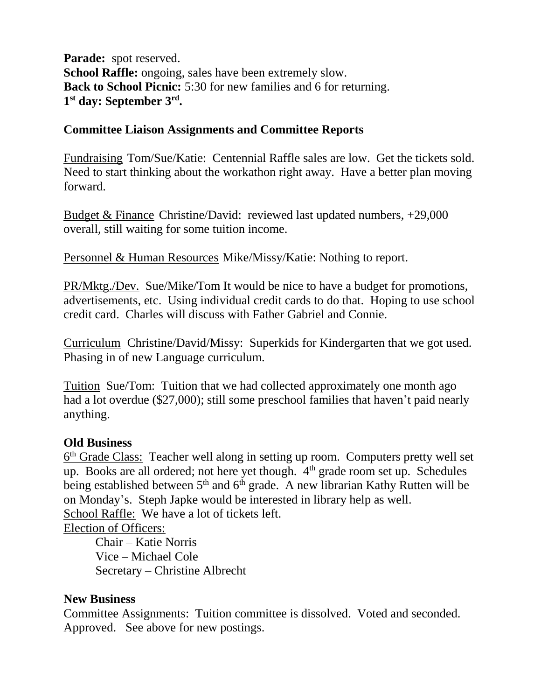**Parade:** spot reserved. **School Raffle:** ongoing, sales have been extremely slow. **Back to School Picnic:** 5:30 for new families and 6 for returning. **1 st day: September 3rd .** 

# **Committee Liaison Assignments and Committee Reports**

Fundraising Tom/Sue/Katie: Centennial Raffle sales are low. Get the tickets sold. Need to start thinking about the workathon right away. Have a better plan moving forward.

Budget & Finance Christine/David: reviewed last updated numbers, +29,000 overall, still waiting for some tuition income.

Personnel & Human Resources Mike/Missy/Katie: Nothing to report.

PR/Mktg./Dev. Sue/Mike/Tom It would be nice to have a budget for promotions, advertisements, etc. Using individual credit cards to do that. Hoping to use school credit card. Charles will discuss with Father Gabriel and Connie.

Curriculum Christine/David/Missy: Superkids for Kindergarten that we got used. Phasing in of new Language curriculum.

Tuition Sue/Tom: Tuition that we had collected approximately one month ago had a lot overdue (\$27,000); still some preschool families that haven't paid nearly anything.

# **Old Business**

6<sup>th</sup> Grade Class: Teacher well along in setting up room. Computers pretty well set up. Books are all ordered; not here yet though.  $4<sup>th</sup>$  grade room set up. Schedules being established between  $5<sup>th</sup>$  and  $6<sup>th</sup>$  grade. A new librarian Kathy Rutten will be on Monday's. Steph Japke would be interested in library help as well. School Raffle:We have a lot of tickets left. Election of Officers:

Chair – Katie Norris Vice – Michael Cole Secretary – Christine Albrecht

# **New Business**

Committee Assignments: Tuition committee is dissolved. Voted and seconded. Approved. See above for new postings.